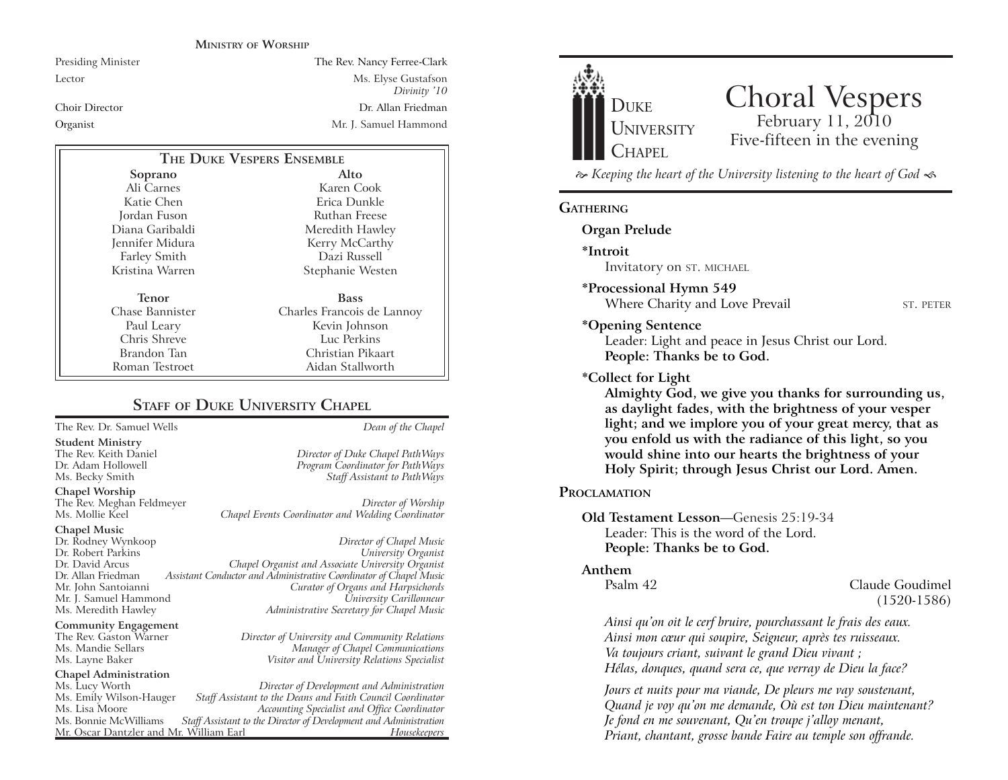#### **MINISTRY OF WORSHIP**

Presiding Minister The Rev. Nancy Ferree-Clark Lector Ms. Elyse Gustafson *Divinity '10* Choir Director Dr. Allan FriedmanOrganist Mr. J. Samuel Hammond

| THE DUKE VESPERS ENSEMBLE |                            |
|---------------------------|----------------------------|
| Soprano                   | Alto                       |
| Ali Carnes                | Karen Cook                 |
| Katie Chen                | Erica Dunkle               |
| Jordan Fuson              | Ruthan Freese              |
| Diana Garibaldi           | Meredith Hawley            |
| Jennifer Midura           | Kerry McCarthy             |
| <b>Farley Smith</b>       | Dazi Russell               |
| Kristina Warren           | Stephanie Westen           |
| Tenor                     | <b>Bass</b>                |
| Chase Bannister           | Charles Francois de Lannoy |
| Paul Leary                | Kevin Johnson              |
| Chris Shreve              | Luc Perkins                |
| Brandon Tan               | Christian Pikaart          |
| Roman Testroet            | Aidan Stallworth           |

#### **STAFF OF DUKE UNIVERSITY CHAPEL**

The Rev. Dr. Samuel Wells *Dean of the Chapel*

**Student Ministry** The Rev. Keith Daniel *Director of Duke Chapel PathWays* Ms. Becky Smith *Staff Assistant to PathWays*

**Chapel Worship**

The Rev. Meghan Feldmeyer *Director of Worship* Chapel Events Coordinator and Wedding Coordinator

# **Chapel Music** Mr. J. Samuel Hammond

**Community Engagement**<br>The Rev. Gaston Warner

### **Chapel Administration**

Mr. Oscar Dantzler and Mr. William Earl

Dr. Rodney Wynkoop *Director of Chapel Music* Dr. Robert Parkins *University Organist* Dr. David Arcus *Chapel Organist and Associate University Organist* Dr. Allan Friedman *Assistant Conductor and Administrative Coordinator of Chapel Music* Mr. John Santoianni *Curator of Organs and Harpsichords* Ms. Meredith Hawley *Administrative Secretary for Chapel Music*

The Rev. Gaston Warner *Director of University and Community Relations* Ms. Mandie Sellars *Manager of Chapel Communications* Ms. Layne Baker *Visitor and University Relations Specialist*

Program Coordinator for PathWays

Ms. Lucy Worth *Director of Development and Administration* Ms. Emily Wilson-Hauger *Staff Assistant to the Deans and Faith Council Coordinator* Ms. Lisa Moore *Accounting Specialist and Office Coordinator* Staff Assistant to the Director of Development and Administration<br>*r*. William Earl *Housekeepers* 



## Choral Vespers<br>February 11, 2010 Five-fifteen in the evening

 *Keeping the heart of the University listening to the heart of God* 

#### **GATHERING**

**Organ Prelude**

**\*Introit** 

Invitatory on ST. MICHAEL

#### **\*Processional Hymn 549**

Where Charity and Love Prevail ST. PETER

#### **\*Opening Sentence**

Leader: Light and peace in Jesus Christ our Lord. **People: Thanks be to God.**

#### **\*Collect for Light**

**Almighty God, we give you thanks for surrounding us, as daylight fades, with the brightness of your vesper light; and we implore you of your great mercy, that as you enfold us with the radiance of this light, so you would shine into our hearts the brightness of your Holy Spirit; through Jesus Christ our Lord. Amen.** 

#### **PROCLAMATION**

**Old Testament Lesson**—Genesis 25:19-34 Leader: This is the word of the Lord.**People: Thanks be to God.**

#### **Anthem**

Psalm 42 Claude Goudimel(1520-1586)

*Ainsi qu'on oit le cerf bruire, pourchassant le frais des eaux. Ainsi mon cœur qui soupire, Seigneur, après tes ruisseaux. Va toujours criant, suivant le grand Dieu vivant ; Hélas, donques, quand sera ce, que verray de Dieu la face?*

*Jours et nuits pour ma viande, De pleurs me vay soustenant, Quand je voy qu'on me demande, Où est ton Dieu maintenant? Je fond en me souvenant, Qu'en troupe j'alloy menant, Priant, chantant, grosse bande Faire au temple son offrande.*